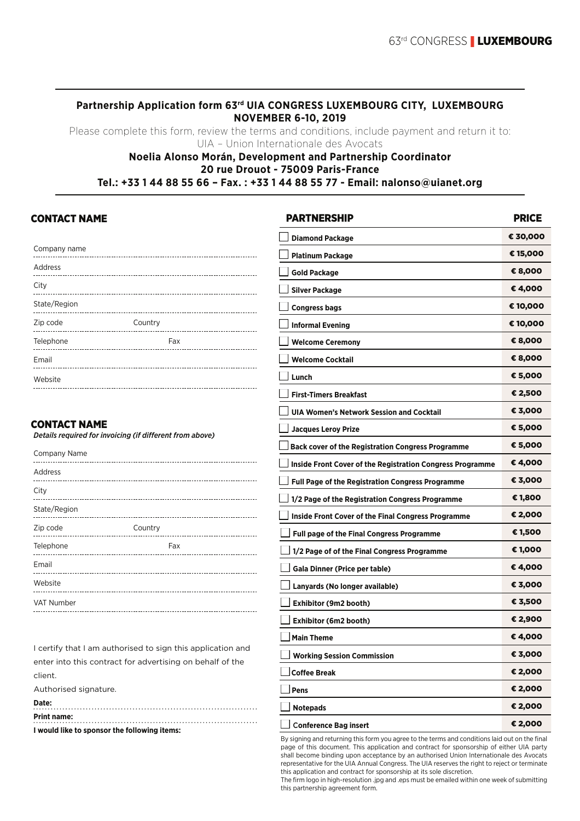# **Partnership Application form 63rd UIA CONGRESS LUXEMBOURG CITY, LUXEMBOURG NOVEMBER 6-10, 2019**

Please complete this form, review the terms and conditions, include payment and return it to: UIA – Union Internationale des Avocats

#### **Noelia Alonso Morán, Development and Partnership Coordinator 20 rue Drouot - 75009 Paris-France Tel.: +33 1 44 88 55 66 – Fax. : +33 1 44 88 55 77 - Email: nalonso@uianet.org**

# CONTACT NAME

| Company name<br>-------------- |         |
|--------------------------------|---------|
| Address                        |         |
| City                           |         |
| State/Region                   |         |
| Zip code                       | Country |
| Telephone                      | Fax     |
| Email                          |         |
| Website                        |         |

# CONTACT NAME

*Details required for invoicing (if different from above)* 

| Company Name      |         |
|-------------------|---------|
| Address           |         |
| City              |         |
| State/Region      |         |
| Zip code          | Country |
| Telephone         | Fax     |
| Email             |         |
| Website           |         |
| <b>VAT Number</b> |         |
|                   |         |

I certify that I am authorised to sign this application and enter into this contract for advertising on behalf of the client.

Authorised signature.

| Date:                                        |  |
|----------------------------------------------|--|
| <b>Print name:</b>                           |  |
| I would like to sponsor the following items: |  |

| <b>PARTNERSHIP</b>                                        | <b>PRICE</b> |
|-----------------------------------------------------------|--------------|
| <b>Diamond Package</b>                                    | € 30,000     |
| <b>Platinum Package</b>                                   | € 15,000     |
| Gold Package                                              | € 8,000      |
| <b>Silver Package</b>                                     | € 4,000      |
| <b>Congress bags</b>                                      | € 10,000     |
| <b>Informal Evening</b>                                   | € 10,000     |
| <b>Welcome Ceremony</b>                                   | € 8,000      |
| <b>Welcome Cocktail</b>                                   | € 8,000      |
| Lunch                                                     | € 5,000      |
| <b>First-Timers Breakfast</b>                             | € 2,500      |
| UIA Women's Network Session and Cocktail                  | € 3,000      |
| <b>Jacques Leroy Prize</b>                                | € 5,000      |
| <b>Back cover of the Registration Congress Programme</b>  | € 5,000      |
| Inside Front Cover of the Registration Congress Programme | € 4,000      |
| <b>Full Page of the Registration Congress Programme</b>   | € 3,000      |
| 1/2 Page of the Registration Congress Programme           | € 1,800      |
| Inside Front Cover of the Final Congress Programme        | € 2,000      |
| <b>Full page of the Final Congress Programme</b>          | € 1,500      |
| 1/2 Page of of the Final Congress Programme               | € 1,000      |
| Gala Dinner (Price per table)                             | € 4,000      |
| Lanyards (No longer available)                            | € 3,000      |
| Exhibitor (9m2 booth)                                     | € 3,500      |
| Exhibitor (6m2 booth)                                     | € 2,900      |
| <b>Main Theme</b>                                         | € 4,000      |
| <b>Working Session Commission</b>                         | € 3,000      |
| <b>Coffee Break</b>                                       | € 2,000      |
| Pens                                                      | € 2,000      |
| <b>Notepads</b>                                           | € 2,000      |
| <b>Conference Bag insert</b>                              | € 2,000      |

By signing and returning this form you agree to the terms and conditions laid out on the final page of this document. This application and contract for sponsorship of either UIA party shall become binding upon acceptance by an authorised Union Internationale des Avocats representative for the UIA Annual Congress. The UIA reserves the right to reject or terminate this application and contract for sponsorship at its sole discretion.

The firm logo in high-resolution .jpg and .eps must be emailed within one week of submitting this partnership agreement form.